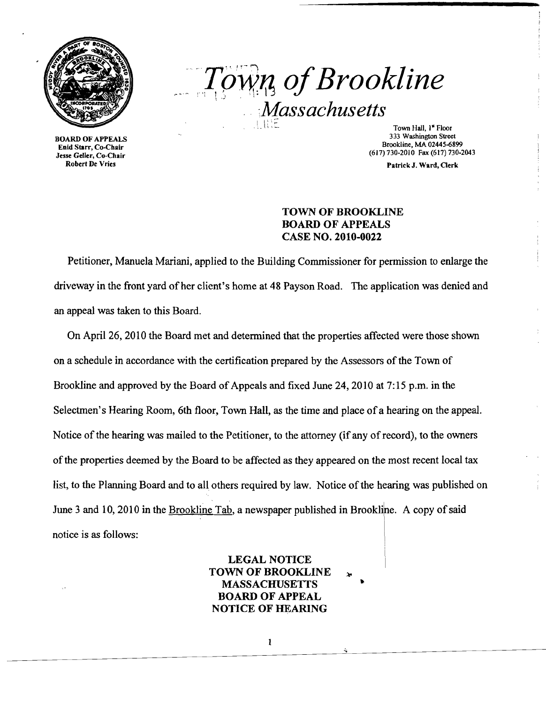

BOARD OF APPEALS Enid Starr, Co-Chair Jesse Geller, Co-Chair Robert De Vries

 $T<sub>0</sub>$ *m<sub>1</sub>*, of Brookline *" ;Massachusetts* 

Town Hall, 1<sup>"</sup> Floor 333 Washington Street Brookline, MA 02445-6899 (617)730-2010 Fax (617) 730-2043

Patrick J. Ward, Clerk

## TOWN OF BROOKLINE BOARD OF APPEALS CASE NO. 2010-0022

Petitioner, Manuela Mariani, applied to the Building Commissioner for permission to enlarge the driveway in the front yard of her client's home at 48 Payson Road. The application was denied and an appeal was taken to this Board.

On April 26, 2010 the Board met and determined that the properties affected were those shown on a schedule in accordance with the certification prepared by the Assessors of the Town of Brookline and approved by the Board of Appeals and fixed June 24, 2010 at 7: 15 p.m. in the Selectmen's Hearing Room, 6th floor, Town Hall, as the time and place of a hearing on the appeal. Notice of the hearing was mailed to the Petitioner, to the attorney (if any of record), to the owners of the properties deemed by the Board to be affected as they appeared on the most recent local tax list, to the Planning Board and to all others required by law. Notice of the hearing was published on June 3 and 10, 2010 in the Brookline Tab, a newspaper published in Brookline. A copy of said notice is as follows: \

> LEGAL NOTICE TOWN OF BROOKLINE **MASSACHUSETTS** BOARD OF APPEAL NOTICE OF HEARING

> > $\mathbf{1}$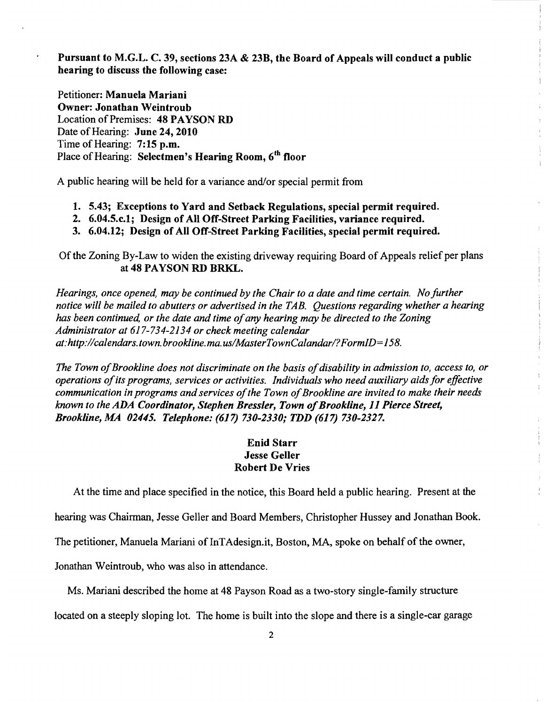Pursuant to M.G.L. C. 39, sections 23A & 23B, the Board of Appeals will conduct a public hearing to discuss the following case:

Petitioner: Manuela Mariani Owner: Jonathan Weintroub Location of Premises: 48 PAYSON RD Date of Hearing: June 24, 2010 Time of Hearing: 7:15 p.m. Place of Hearing: Selectmen's Hearing Room, 6<sup>th</sup> floor

A public hearing will be held for a variance and/or special permit from

- 1. 5.43; Exceptions to Yard and Setback Regulations, special permit required.
- 2. 6.04.5.c.l; Design of All Off-Street Parking Facilities, variance required.
- 3. 6.04.12; Design of All Off-Street Parking Facilities, special permit required.

Of the Zoning By-Law to widen the existing driveway requiring Board of Appeals relief per plans at 48 PAYSON RD BRKL.

*Hearings, once opened, may be continued by the Chair to a date and time certain. No further notice will be mailed to abutters or advertised in the TAB. Questions regarding whether a hearing has been continued, or the date and time ofany hearing may be directed to the Zoning Administrator at* 617-734-2134 *or check meeting calendar at:http://calendars.town.brookline.ma.usIMasterTownCalandarl?FormID=158.* 

The Town of Brookline does not discriminate on the basis of disability in admission to, access to, or *operations ofits programs, services or activities. Individuals who need auxiliary aids for effective communication in programs and services of the Town of Brookline are invited to make their needs known to the* ADA *Coordinator, Stephen Bressler, Town ofBrookline,* 11 *Pierce Street, Brookline, MA 02445. Telephone:* (617) *730-2330;* TDD (617) *730-2327.* 

 $\frac{1}{3}$ 

 $\frac{\epsilon}{\epsilon}$ 

## Enid Starr Jesse Geller Robert De Vries

At the time and place specified in the notice, this Board held a public hearing. Present at the

hearing was Chairman, Jesse Geller and Board Members, Christopher Hussey and Jonathan Book.

The petitioner, Manuela Mariani of lnTAdesign.it, Boston, MA, spoke on behalf of the owner,

Jonathan Weintroub, who was also in attendance.

Ms. Mariani described the home at 48 Payson Road as a two-story single-family structure

located on a steeply sloping lot. The home is built into the slope and there is a single-car garage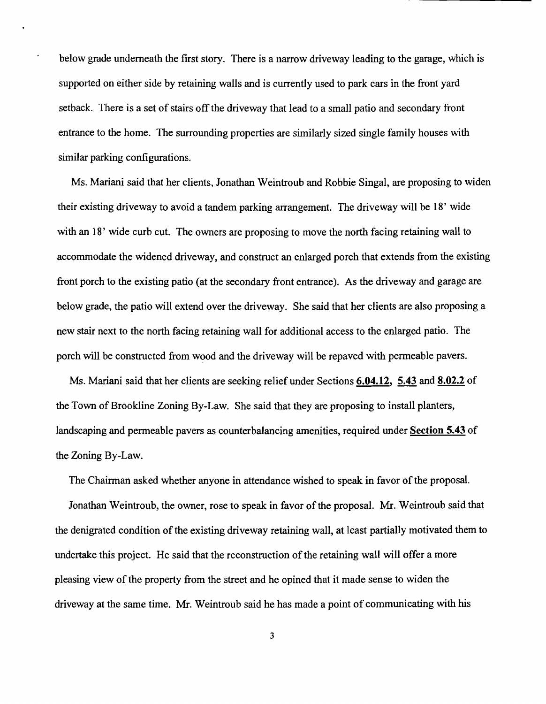below grade underneath the first story. There is a narrow driveway leading to the garage, which is supported on either side by retaining walls and is currently used to park cars in the front yard setback. There is a set of stairs off the driveway that lead to a small patio and secondary front entrance to the home. The surrounding properties are similarly sized single family houses with similar parking configurations.

Ms. Mariani said that her clients, Jonathan Weintroub and Robbie Singal, are proposing to widen their existing driveway to avoid a tandem parking arrangement. The driveway will be 18' wide with an 18' wide curb cut. The owners are proposing to move the north facing retaining wall to accommodate the widened driveway, and construct an enlarged porch that extends from the existing front porch to the existing patio (at the secondary front entrance). As the driveway and garage are below grade, the patio will extend over the driveway. She said that her clients are also proposing a new stair next to the north facing retaining wall for additional access to the enlarged patio. The porch will be constructed from wood and the driveway will be repaved with permeable pavers.

Ms. Mariani said that her clients are seeking relief under Sections **6.04.12, 5.43 and 8.02.2** of the Town of Brookline Zoning By-Law. She said that they are proposing to install planters, landscaping and permeable pavers as counterbalancing amenities, required under **Section 5.43** of the Zoning By-Law.

The Chairman asked whether anyone in attendance wished to speak in favor of the proposal.

Jonathan Weintroub, the owner, rose to speak in favor of the proposal. Mr. Weintroub said that the denigrated condition of the existing driveway retaining wall, at least partially motivated them to undertake this project. He said that the reconstruction of the retaining wall will offer a more pleasing view of the property from the street and he opined that it made sense to widen the driveway at the same time. Mr. Weintroub said he has made a point of communicating with his

3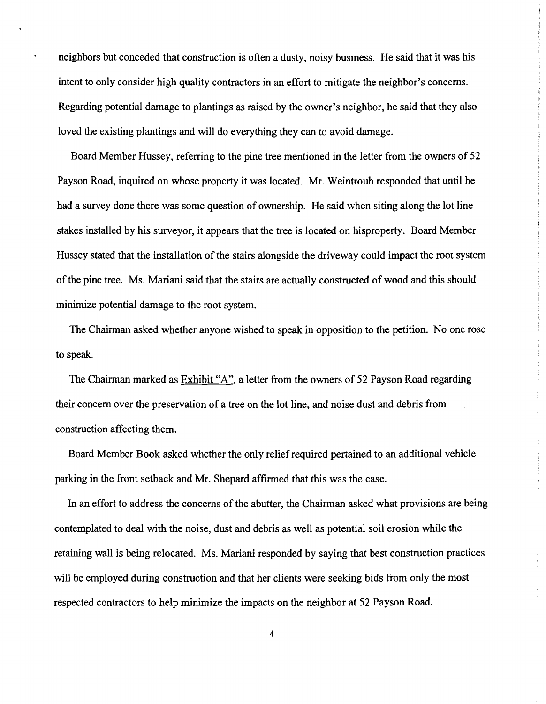neighbors but conceded that construction is often a dusty, noisy business. He said that it was his intent to only consider high quality contractors in an effort to mitigate the neighbor's concerns. Regarding potential damage to plantings as raised by the owner's neighbor, he said that they also loved the existing plantings and will do everything they can to avoid damage.

Board Member Hussey, referring to the pine tree mentioned in the letter from the owners of 52 Payson Road, inquired on whose property it was located. Mr. Weintroub responded that until he had a survey done there was some question of ownership. He said when siting along the lot line stakes installed by his surveyor, it appears that the tree is located on hisproperty. Board Member Hussey stated that the installation of the stairs alongside the driveway could impact the root system of the pine tree. Ms. Mariani said that the stairs are actually constructed of wood and this should minimize potential damage to the root system.

The Chairman asked whether anyone wished to speak in opposition to the petition. No one rose to speak.

The Chairman marked as Exhibit "A", a letter from the owners of 52 Payson Road regarding their concern over the preservation of a tree on the lot line, and noise dust and debris from construction affecting them.

Board Member Book asked whether the only relief required pertained to an additional vehicle parking in the front setback and Mr. Shepard affirmed that this was the case.

In an effort to address the concerns of the abutter, the Chairman asked what provisions are being contemplated to deal with the noise, dust and debris as well as potential soil erosion while the retaining wall is being relocated. Ms. Mariani responded by saying that best construction practices will be employed during construction and that her clients were seeking bids from only the most respected contractors to help minimize the impacts on the neighbor at 52 Payson Road.

4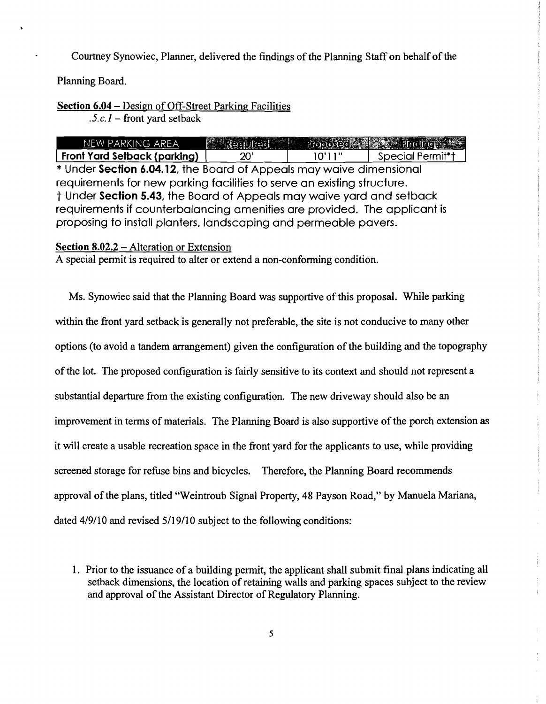Courtney Synowiec, Planner, delivered the findings of the Planning Staff on behalf of the

Planning Board.

## Section 6.04 - Design of Off-Street Parking Facilities

 $\overline{.5.c.}$  *l* – front yard setback

| NEW PARKING AREA                                                                                                                              |              |        | Reculted Proposed 2 Hudley |
|-----------------------------------------------------------------------------------------------------------------------------------------------|--------------|--------|----------------------------|
| Front Yard Setback (parking)                                                                                                                  | $20^{\circ}$ | 10'11" | Special Permit*†           |
| * Under Section 6.04.12, the Board of Appeals may waive dimensional                                                                           |              |        |                            |
| requirements for new parking facilities to serve an existing structure.                                                                       |              |        |                            |
| t Under Section 5.43, the Board of Appeals may waive yard and setback                                                                         |              |        |                            |
| requirements if counterbalancing amenities are provided. The applicant is<br>proposing to install planters, landscaping and permeable pavers. |              |        |                            |
|                                                                                                                                               |              |        |                            |

## Section 8.02.2 – Alteration or Extension

A special permit is required to alter or extend a non-conforming condition.

Ms. Synowiec said that the Planning Board was supportive of this proposal. While parking within the front yard setback is generally not preferable, the site is not conducive to many other options (to avoid a tandem arrangement) given the configuration of the building and the topography of the lot. The proposed configuration is fairly sensitive to its context and should not represent a substantial departure from the existing configuration. The new driveway should also be an improvement in tenns of materials. The Planning Board is also supportive of the porch extension as it will create a usable recreation space in the front yard for the applicants to use, while providing screened storage for refuse bins and bicycles. Therefore, the Planning Board recommends approval of the plans, titled "Weintroub Signal Property, 48 Payson Road," by Manuela Mariana, dated 4/9/10 and revised 5/19/10 subject to the following conditions:

 $\sim$ 

<sup>1.</sup> Prior to the issuance of a building permit, the applicant shall submit final plans indicating all setback dimensions, the location of retaining walls and parking spaces subject to the review and approval of the Assistant Director of Regulatory Planning.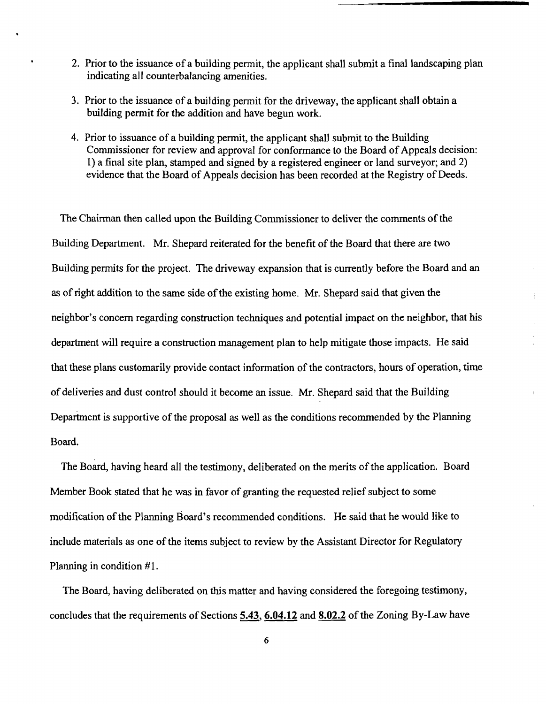- 2. Prior to the issuance of a building permit, the applicant shall submit a final landscaping plan indicating all counterbalancing amenities.
- 3. Prior to the issuance of a building permit for the driveway, the applicant shall obtain a building permit for the addition and have begun work.
- 4. Prior to issuance of a building permit, the applicant shall submit to the Building Commissioner for review and approval for conformance to the Board of Appeals decision: 1) a final site plan, stamped and signed by a registered engineer or land surveyor; and 2) evidence that the Board of Appeals decision has been recorded at the Registry of Deeds.

The Chairman then called upon the Building Commissioner to deliver the comments of the Building Department. Mr. Shepard reiterated for the benefit of the Board that there are two Building permits for the project. The driveway expansion that is currently before the Board and an as of right addition to the same side of the existing home. Mr. Shepard said that given the neighbor's concern regarding construction techniques and potential impact on the neighbor, that his department will require a construction management plan to help mitigate those impacts. He said that these plans customarily provide contact information of the contractors, hours of operation, time of deliveries and dust control should it become an issue. Mr. Shepard said that the Building Department is supportive of the proposal as well as the conditions recommended by the Planning Board.

The Board, having heard all the testimony, deliberated on the merits of the application. Board Member Book stated that he was in favor of granting the requested relief subject to some modification of the Planning Board's recommended conditions. He said that he would like to include materials as one of the items subject to review by the Assistant Director for Regulatory Planning in condition #1.

The Board, having deliberated on this matter and having considered the foregoing testimony, concludes that the requirements of Sections 5.43, 6.04.12 and 8.02.2 of the Zoning By-Law have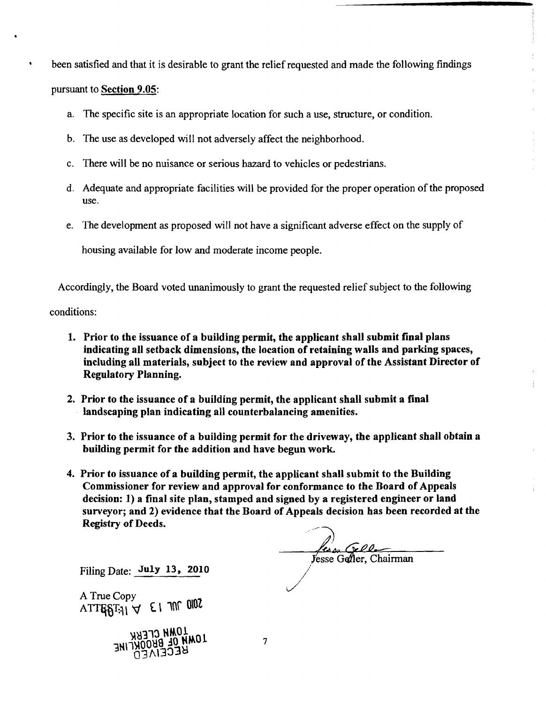been satisfied and that it is desirable to grant the relief requested and made the following findings

pursuant to Section 9.05:

- a. The specific site is an appropriate location for such a use, structure, or condition.
- b. The use as developed will not adversely affect the neighborhood.
- c. There will be no nuisance or serious hazard to vehicles or pedestrians.
- d. Adequate and appropriate facilities will be provided for the proper operation of the proposed use.
- e. The development as proposed will not have a significant adverse effect on the supply of

housing available for low and moderate income people.

Accordingly, the Board voted unanimously to grant the requested relief subject to the following

conditions:

- 1. Prior to the issuance of a building permit, the applicant shall submit final plans indicating all setback dimensions, the location of retaining walls and parking spaces, including all materials, subject to the review and approval of the Assistant Director of Regulatory Planning.
- 2. Prior to the issuance of a building permit, the applicant shall submit a final . landscaping plan indicating all counterbalancing amenities.
- 3. Prior to the issuance of a building permit for the driveway, the applicant shall obtain a building permit for the addition and have begun work.
- 4. Prior to issuance of a building permit, the applicant shall submit to the Building Commissioner for review and approval for conformance to the Board of Appeals decision: 1) a final site plan, stamped and signed by a registered engineer or land surveyor; and 2) evidence that the Board of Appeals decision has been recorded at the Registry of Deeds.

*fense* Gellen<br>Jesse Geller, Chairman

Filing Date: July 13, 2010

A True Copy  $ATTE8T<sub>31</sub>$   $\forall$   $\in$  1 70<sup>002</sup>



7